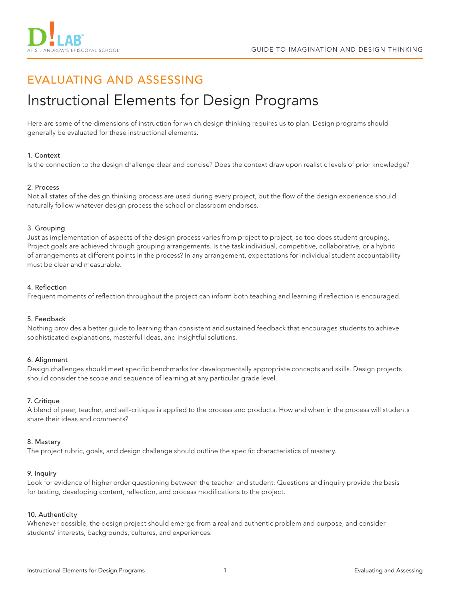

# EVALUATING AND ASSESSING

# Instructional Elements for Design Programs

Here are some of the dimensions of instruction for which design thinking requires us to plan. Design programs should generally be evaluated for these instructional elements.

# 1. Context

Is the connection to the design challenge clear and concise? Does the context draw upon realistic levels of prior knowledge?

# 2. Process

Not all states of the design thinking process are used during every project, but the flow of the design experience should naturally follow whatever design process the school or classroom endorses.

#### 3. Grouping

Just as implementation of aspects of the design process varies from project to project, so too does student grouping. Project goals are achieved through grouping arrangements. Is the task individual, competitive, collaborative, or a hybrid of arrangements at different points in the process? In any arrangement, expectations for individual student accountability must be clear and measurable.

#### 4. Reflection

Frequent moments of reflection throughout the project can inform both teaching and learning if reflection is encouraged.

# 5. Feedback

Nothing provides a better guide to learning than consistent and sustained feedback that encourages students to achieve sophisticated explanations, masterful ideas, and insightful solutions.

# 6. Alignment

Design challenges should meet specific benchmarks for developmentally appropriate concepts and skills. Design projects should consider the scope and sequence of learning at any particular grade level.

# 7. Critique

A blend of peer, teacher, and self-critique is applied to the process and products. How and when in the process will students share their ideas and comments?

# 8. Mastery

The project rubric, goals, and design challenge should outline the specific characteristics of mastery.

#### 9. Inquiry

Look for evidence of higher order questioning between the teacher and student. Questions and inquiry provide the basis for testing, developing content, reflection, and process modifications to the project.

#### 10. Authenticity

Whenever possible, the design project should emerge from a real and authentic problem and purpose, and consider students' interests, backgrounds, cultures, and experiences.